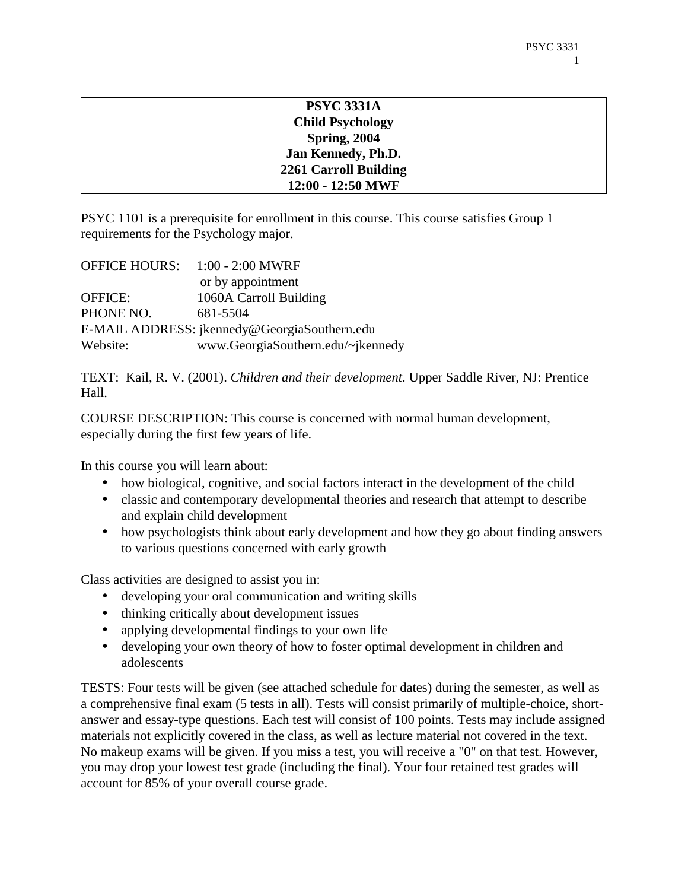| <b>PSYC 3331A</b>            |  |
|------------------------------|--|
| <b>Child Psychology</b>      |  |
| <b>Spring, 2004</b>          |  |
| Jan Kennedy, Ph.D.           |  |
| <b>2261 Carroll Building</b> |  |
| 12:00 - 12:50 MWF            |  |

PSYC 1101 is a prerequisite for enrollment in this course. This course satisfies Group 1 requirements for the Psychology major.

|                | OFFICE HOURS: 1:00 - 2:00 MWRF               |
|----------------|----------------------------------------------|
|                | or by appointment                            |
| <b>OFFICE:</b> | 1060A Carroll Building                       |
| PHONE NO.      | 681-5504                                     |
|                | E-MAIL ADDRESS: jkennedy@GeorgiaSouthern.edu |
| Website:       | www.GeorgiaSouthern.edu/~jkennedy            |

TEXT: Kail, R. V. (2001). *Children and their development*. Upper Saddle River, NJ: Prentice Hall.

COURSE DESCRIPTION: This course is concerned with normal human development, especially during the first few years of life.

In this course you will learn about:

- how biological, cognitive, and social factors interact in the development of the child
- classic and contemporary developmental theories and research that attempt to describe and explain child development
- how psychologists think about early development and how they go about finding answers to various questions concerned with early growth

Class activities are designed to assist you in:

- developing your oral communication and writing skills
- thinking critically about development issues
- applying developmental findings to your own life
- developing your own theory of how to foster optimal development in children and adolescents

TESTS: Four tests will be given (see attached schedule for dates) during the semester, as well as a comprehensive final exam (5 tests in all). Tests will consist primarily of multiple-choice, shortanswer and essay-type questions. Each test will consist of 100 points. Tests may include assigned materials not explicitly covered in the class, as well as lecture material not covered in the text. No makeup exams will be given. If you miss a test, you will receive a "0" on that test. However, you may drop your lowest test grade (including the final). Your four retained test grades will account for 85% of your overall course grade.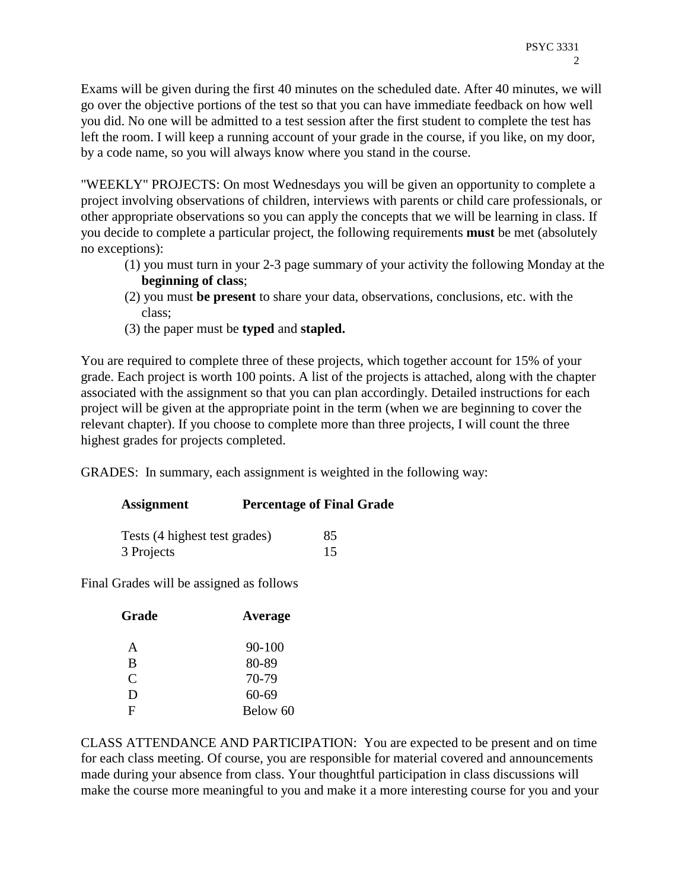Exams will be given during the first 40 minutes on the scheduled date. After 40 minutes, we will go over the objective portions of the test so that you can have immediate feedback on how well you did. No one will be admitted to a test session after the first student to complete the test has left the room. I will keep a running account of your grade in the course, if you like, on my door, by a code name, so you will always know where you stand in the course.

"WEEKLY" PROJECTS: On most Wednesdays you will be given an opportunity to complete a project involving observations of children, interviews with parents or child care professionals, or other appropriate observations so you can apply the concepts that we will be learning in class. If you decide to complete a particular project, the following requirements **must** be met (absolutely no exceptions):

- (1) you must turn in your 2-3 page summary of your activity the following Monday at the **beginning of class**;
- (2) you must **be present** to share your data, observations, conclusions, etc. with the class;
- (3) the paper must be **typed** and **stapled.**

You are required to complete three of these projects, which together account for 15% of your grade. Each project is worth 100 points. A list of the projects is attached, along with the chapter associated with the assignment so that you can plan accordingly. Detailed instructions for each project will be given at the appropriate point in the term (when we are beginning to cover the relevant chapter). If you choose to complete more than three projects, I will count the three highest grades for projects completed.

GRADES: In summary, each assignment is weighted in the following way:

| <b>Assignment</b>             | <b>Percentage of Final Grade</b> |    |
|-------------------------------|----------------------------------|----|
| Tests (4 highest test grades) |                                  | 85 |
| 3 Projects                    |                                  | 15 |

Final Grades will be assigned as follows

| Grade | Average  |  |
|-------|----------|--|
| A     | 90-100   |  |
| B     | 80-89    |  |
| C     | 70-79    |  |
| Ð     | 60-69    |  |
| F     | Below 60 |  |
|       |          |  |

CLASS ATTENDANCE AND PARTICIPATION: You are expected to be present and on time for each class meeting. Of course, you are responsible for material covered and announcements made during your absence from class. Your thoughtful participation in class discussions will make the course more meaningful to you and make it a more interesting course for you and your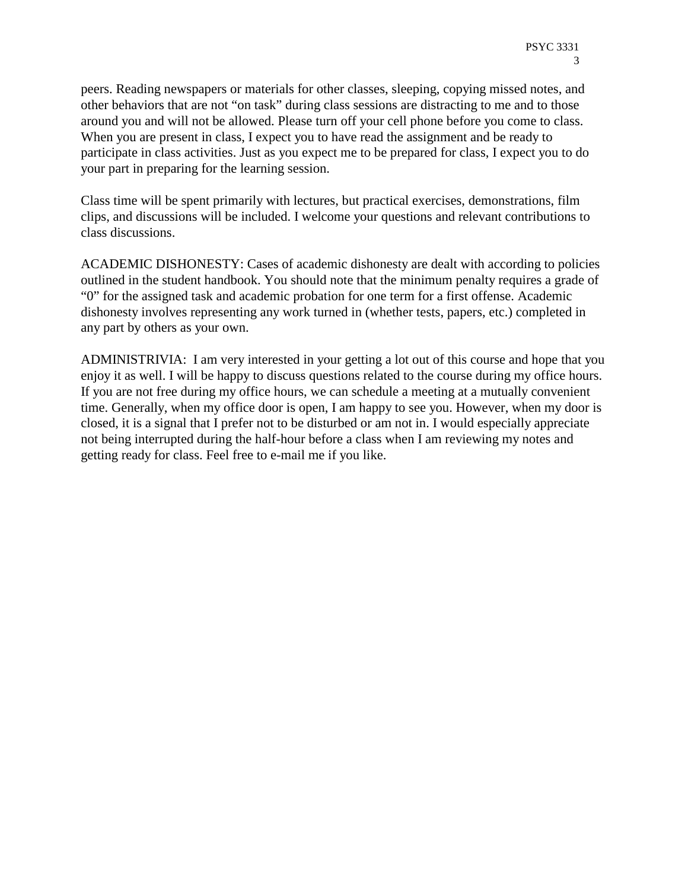peers. Reading newspapers or materials for other classes, sleeping, copying missed notes, and other behaviors that are not "on task" during class sessions are distracting to me and to those around you and will not be allowed. Please turn off your cell phone before you come to class. When you are present in class, I expect you to have read the assignment and be ready to participate in class activities. Just as you expect me to be prepared for class, I expect you to do your part in preparing for the learning session.

Class time will be spent primarily with lectures, but practical exercises, demonstrations, film clips, and discussions will be included. I welcome your questions and relevant contributions to class discussions.

ACADEMIC DISHONESTY: Cases of academic dishonesty are dealt with according to policies outlined in the student handbook. You should note that the minimum penalty requires a grade of "0" for the assigned task and academic probation for one term for a first offense. Academic dishonesty involves representing any work turned in (whether tests, papers, etc.) completed in any part by others as your own.

ADMINISTRIVIA: I am very interested in your getting a lot out of this course and hope that you enjoy it as well. I will be happy to discuss questions related to the course during my office hours. If you are not free during my office hours, we can schedule a meeting at a mutually convenient time. Generally, when my office door is open, I am happy to see you. However, when my door is closed, it is a signal that I prefer not to be disturbed or am not in. I would especially appreciate not being interrupted during the half-hour before a class when I am reviewing my notes and getting ready for class. Feel free to e-mail me if you like.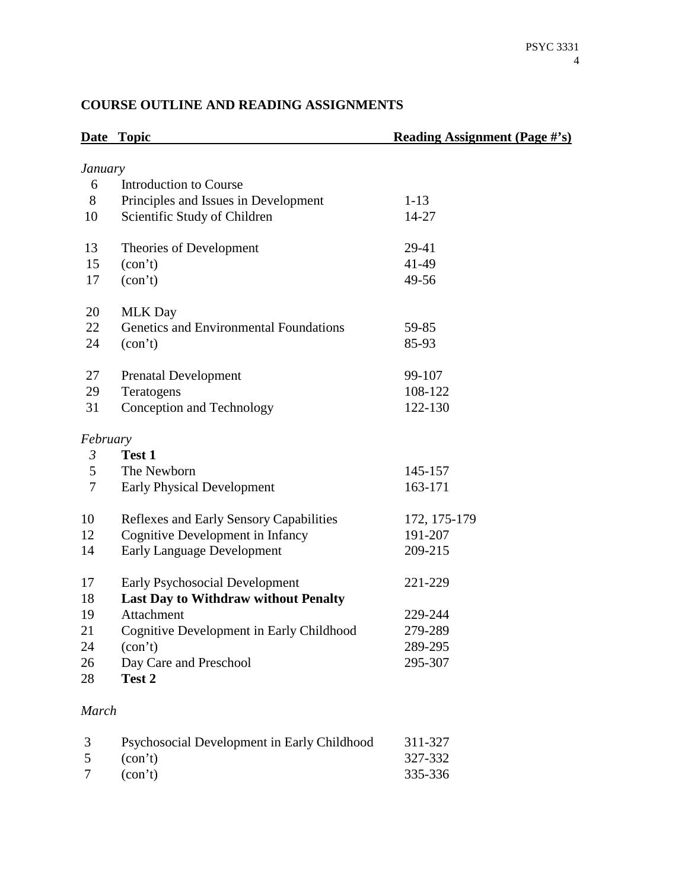# **Date Topic Reading Assignment (Page #'s)** *January* 6 Introduction to Course 8 Principles and Issues in Development 1-13 10 Scientific Study of Children 14-27 13 Theories of Development 29-41 15 (con't) 41-49 17 (con't) 49-56 20 MLK Day 22 Genetics and Environmental Foundations 59-85 24 (con't) 85-93 27 Prenatal Development 99-107 29 Teratogens 108-122 31 Conception and Technology 122-130 *February 3* **Test 1** 5 The Newborn 145-157 7 Early Physical Development 163-171 10 Reflexes and Early Sensory Capabilities 172, 175-179 12 Cognitive Development in Infancy 191-207 14 Early Language Development 209-215 17 Early Psychosocial Development 221-229 18 **Last Day to Withdraw without Penalty**  19 Attachment 229-244 21 Cognitive Development in Early Childhood 279-289 24 (con't) 289-295 26 Day Care and Preschool 295-307 28 **Test 2** *March*

#### **COURSE OUTLINE AND READING ASSIGNMENTS**

| 3         | Psychosocial Development in Early Childhood | 311-327 |
|-----------|---------------------------------------------|---------|
| $5 \quad$ | $\text{(con't)}$                            | 327-332 |
|           | (con't)                                     | 335-336 |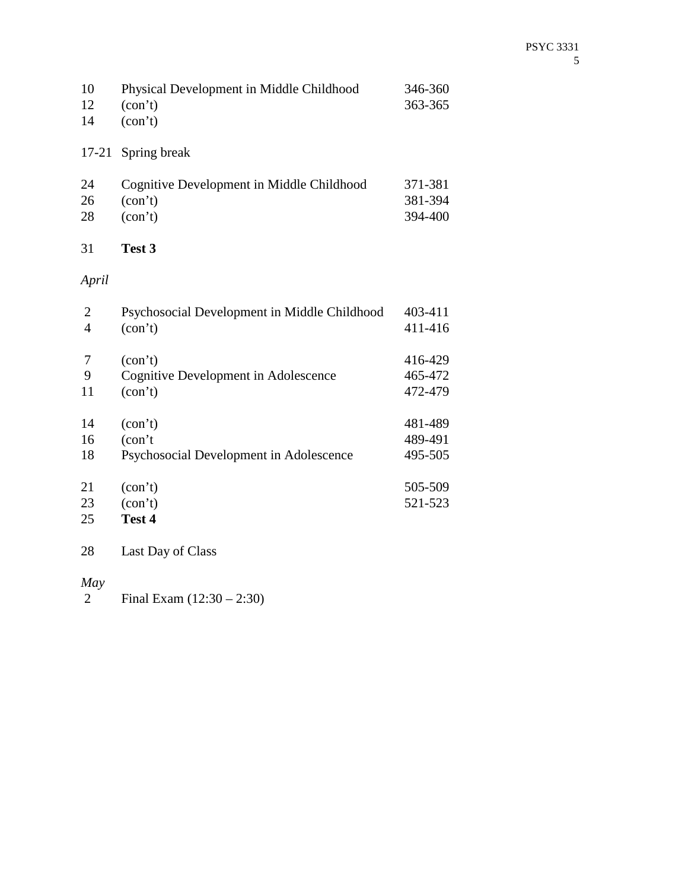| 10 | Physical Development in Middle Childhood | 346-360 |
|----|------------------------------------------|---------|
| 12 | $\text{(con'}t)$                         | 363-365 |
| 14 | $\text{(con't)}$                         |         |

## 17-21 Spring break

| 24 | Cognitive Development in Middle Childhood | 371-381 |
|----|-------------------------------------------|---------|
| 26 | (con't)                                   | 381-394 |
| 28 | (con't)                                   | 394-400 |

### 31 **Test 3**

# *April*

| 2              | Psychosocial Development in Middle Childhood | 403-411 |
|----------------|----------------------------------------------|---------|
| $\overline{4}$ | (con't)                                      | 411-416 |
|                |                                              |         |
| 7              | (con't)                                      | 416-429 |
| 9              | Cognitive Development in Adolescence         | 465-472 |
| 11             | (con't)                                      | 472-479 |
| 14             | (con't)                                      | 481-489 |
| 16             | $(\text{con}^{\dagger})$                     | 489-491 |
| 18             | Psychosocial Development in Adolescence      | 495-505 |
| 21             | (con't)                                      | 505-509 |
| 23             | (con't)                                      | 521-523 |
| 25             | Test 4                                       |         |
| 28             | Last Day of Class                            |         |

*May*  Final Exam (12:30 – 2:30)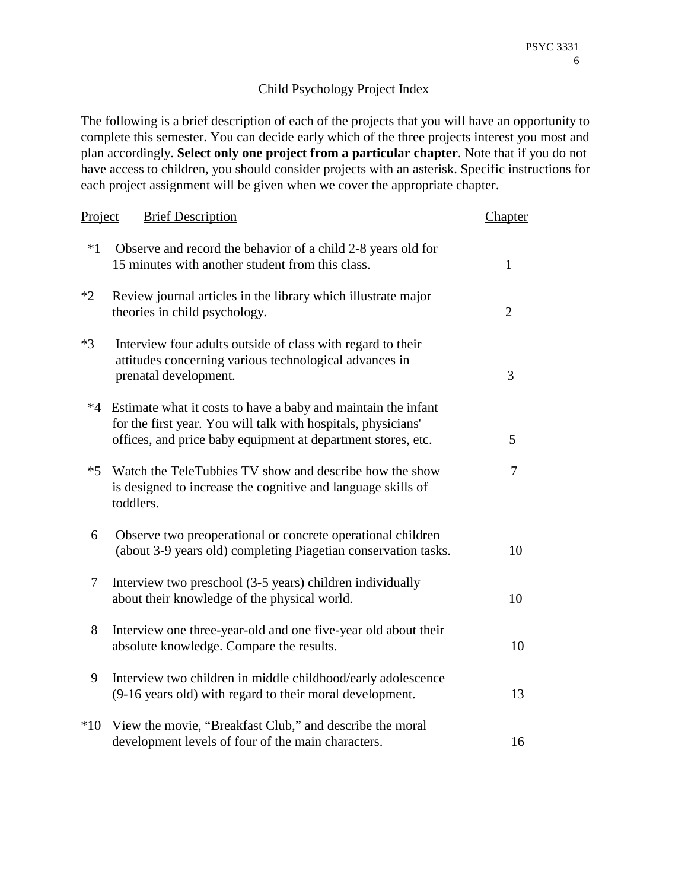### Child Psychology Project Index

The following is a brief description of each of the projects that you will have an opportunity to complete this semester. You can decide early which of the three projects interest you most and plan accordingly. **Select only one project from a particular chapter**. Note that if you do not have access to children, you should consider projects with an asterisk. Specific instructions for each project assignment will be given when we cover the appropriate chapter.

| Project | <b>Brief Description</b>                                                                                                                                                                       | Chapter        |
|---------|------------------------------------------------------------------------------------------------------------------------------------------------------------------------------------------------|----------------|
| $*1$    | Observe and record the behavior of a child 2-8 years old for<br>15 minutes with another student from this class.                                                                               | $\mathbf{1}$   |
| $*2$    | Review journal articles in the library which illustrate major<br>theories in child psychology.                                                                                                 | $\overline{2}$ |
| $*3$    | Interview four adults outside of class with regard to their<br>attitudes concerning various technological advances in<br>prenatal development.                                                 | 3              |
| $*4$    | Estimate what it costs to have a baby and maintain the infant<br>for the first year. You will talk with hospitals, physicians'<br>offices, and price baby equipment at department stores, etc. | 5              |
| $*5$    | Watch the TeleTubbies TV show and describe how the show<br>is designed to increase the cognitive and language skills of<br>toddlers.                                                           | 7              |
| 6       | Observe two preoperational or concrete operational children<br>(about 3-9 years old) completing Piagetian conservation tasks.                                                                  | 10             |
| 7       | Interview two preschool (3-5 years) children individually<br>about their knowledge of the physical world.                                                                                      | 10             |
| 8       | Interview one three-year-old and one five-year old about their<br>absolute knowledge. Compare the results.                                                                                     | 10             |
| 9       | Interview two children in middle childhood/early adolescence<br>(9-16 years old) with regard to their moral development.                                                                       | 13             |
| $*10$   | View the movie, "Breakfast Club," and describe the moral<br>development levels of four of the main characters.                                                                                 | 16             |